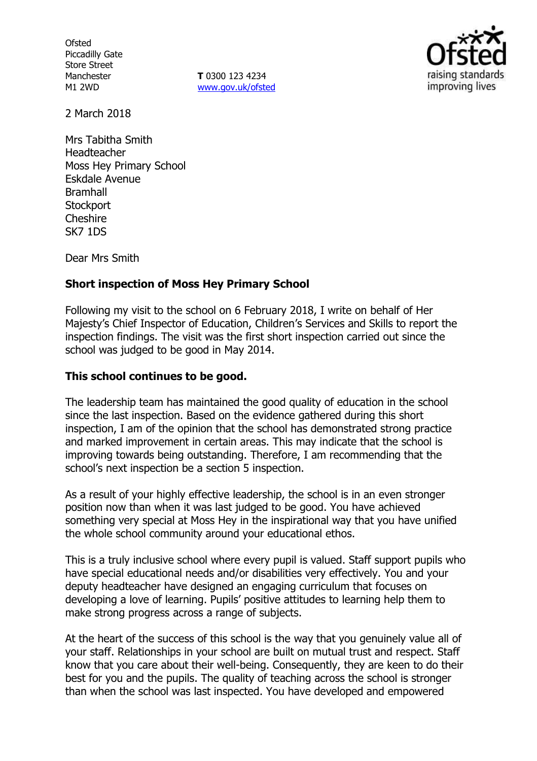**Ofsted** Piccadilly Gate Store Street Manchester M1 2WD

**T** 0300 123 4234 www.gov.uk/ofsted



2 March 2018

Mrs Tabitha Smith Headteacher Moss Hey Primary School Eskdale Avenue Bramhall **Stockport Cheshire** SK7 1DS

Dear Mrs Smith

### **Short inspection of Moss Hey Primary School**

Following my visit to the school on 6 February 2018, I write on behalf of Her Majesty's Chief Inspector of Education, Children's Services and Skills to report the inspection findings. The visit was the first short inspection carried out since the school was judged to be good in May 2014.

#### **This school continues to be good.**

The leadership team has maintained the good quality of education in the school since the last inspection. Based on the evidence gathered during this short inspection, I am of the opinion that the school has demonstrated strong practice and marked improvement in certain areas. This may indicate that the school is improving towards being outstanding. Therefore, I am recommending that the school's next inspection be a section 5 inspection.

As a result of your highly effective leadership, the school is in an even stronger position now than when it was last judged to be good. You have achieved something very special at Moss Hey in the inspirational way that you have unified the whole school community around your educational ethos.

This is a truly inclusive school where every pupil is valued. Staff support pupils who have special educational needs and/or disabilities very effectively. You and your deputy headteacher have designed an engaging curriculum that focuses on developing a love of learning. Pupils' positive attitudes to learning help them to make strong progress across a range of subjects.

At the heart of the success of this school is the way that you genuinely value all of your staff. Relationships in your school are built on mutual trust and respect. Staff know that you care about their well-being. Consequently, they are keen to do their best for you and the pupils. The quality of teaching across the school is stronger than when the school was last inspected. You have developed and empowered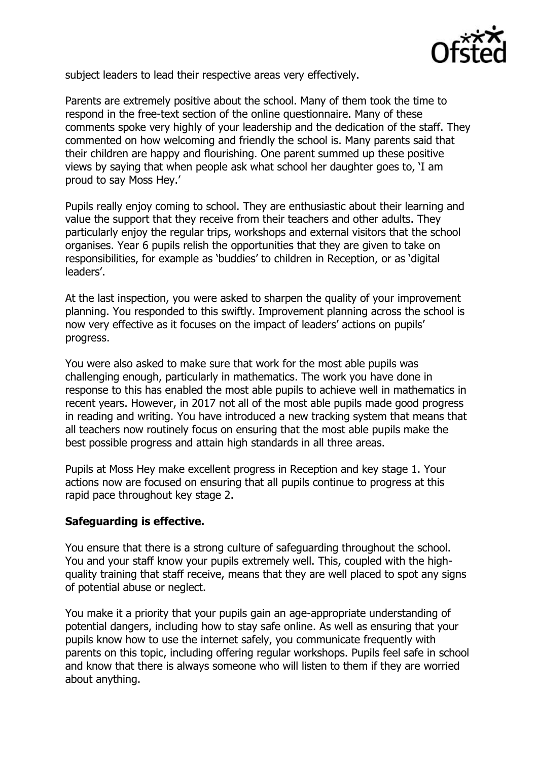

subject leaders to lead their respective areas very effectively.

Parents are extremely positive about the school. Many of them took the time to respond in the free-text section of the online questionnaire. Many of these comments spoke very highly of your leadership and the dedication of the staff. They commented on how welcoming and friendly the school is. Many parents said that their children are happy and flourishing. One parent summed up these positive views by saying that when people ask what school her daughter goes to, 'I am proud to say Moss Hey.'

Pupils really enjoy coming to school. They are enthusiastic about their learning and value the support that they receive from their teachers and other adults. They particularly enjoy the regular trips, workshops and external visitors that the school organises. Year 6 pupils relish the opportunities that they are given to take on responsibilities, for example as 'buddies' to children in Reception, or as 'digital leaders'.

At the last inspection, you were asked to sharpen the quality of your improvement planning. You responded to this swiftly. Improvement planning across the school is now very effective as it focuses on the impact of leaders' actions on pupils' progress.

You were also asked to make sure that work for the most able pupils was challenging enough, particularly in mathematics. The work you have done in response to this has enabled the most able pupils to achieve well in mathematics in recent years. However, in 2017 not all of the most able pupils made good progress in reading and writing. You have introduced a new tracking system that means that all teachers now routinely focus on ensuring that the most able pupils make the best possible progress and attain high standards in all three areas.

Pupils at Moss Hey make excellent progress in Reception and key stage 1. Your actions now are focused on ensuring that all pupils continue to progress at this rapid pace throughout key stage 2.

## **Safeguarding is effective.**

You ensure that there is a strong culture of safeguarding throughout the school. You and your staff know your pupils extremely well. This, coupled with the highquality training that staff receive, means that they are well placed to spot any signs of potential abuse or neglect.

You make it a priority that your pupils gain an age-appropriate understanding of potential dangers, including how to stay safe online. As well as ensuring that your pupils know how to use the internet safely, you communicate frequently with parents on this topic, including offering regular workshops. Pupils feel safe in school and know that there is always someone who will listen to them if they are worried about anything.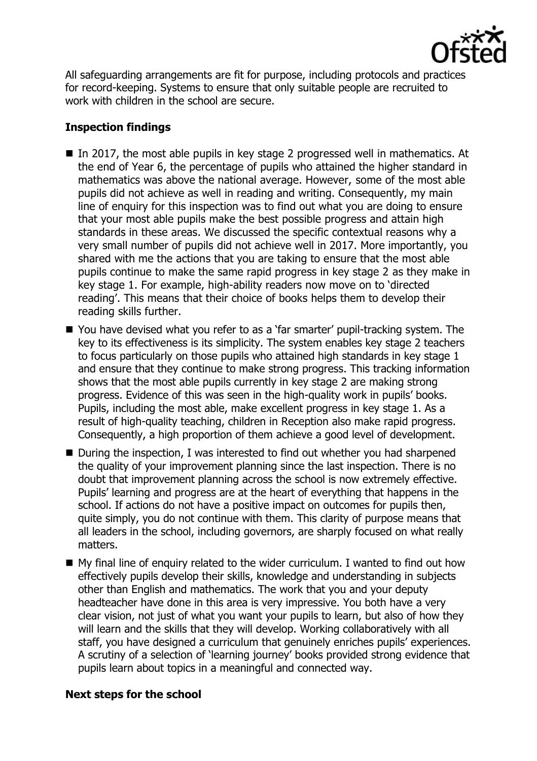

All safeguarding arrangements are fit for purpose, including protocols and practices for record-keeping. Systems to ensure that only suitable people are recruited to work with children in the school are secure.

# **Inspection findings**

- In 2017, the most able pupils in key stage 2 progressed well in mathematics. At the end of Year 6, the percentage of pupils who attained the higher standard in mathematics was above the national average. However, some of the most able pupils did not achieve as well in reading and writing. Consequently, my main line of enquiry for this inspection was to find out what you are doing to ensure that your most able pupils make the best possible progress and attain high standards in these areas. We discussed the specific contextual reasons why a very small number of pupils did not achieve well in 2017. More importantly, you shared with me the actions that you are taking to ensure that the most able pupils continue to make the same rapid progress in key stage 2 as they make in key stage 1. For example, high-ability readers now move on to 'directed reading'. This means that their choice of books helps them to develop their reading skills further.
- You have devised what you refer to as a 'far smarter' pupil-tracking system. The key to its effectiveness is its simplicity. The system enables key stage 2 teachers to focus particularly on those pupils who attained high standards in key stage 1 and ensure that they continue to make strong progress. This tracking information shows that the most able pupils currently in key stage 2 are making strong progress. Evidence of this was seen in the high-quality work in pupils' books. Pupils, including the most able, make excellent progress in key stage 1. As a result of high-quality teaching, children in Reception also make rapid progress. Consequently, a high proportion of them achieve a good level of development.
- During the inspection, I was interested to find out whether you had sharpened the quality of your improvement planning since the last inspection. There is no doubt that improvement planning across the school is now extremely effective. Pupils' learning and progress are at the heart of everything that happens in the school. If actions do not have a positive impact on outcomes for pupils then, quite simply, you do not continue with them. This clarity of purpose means that all leaders in the school, including governors, are sharply focused on what really matters.
- My final line of enquiry related to the wider curriculum. I wanted to find out how effectively pupils develop their skills, knowledge and understanding in subjects other than English and mathematics. The work that you and your deputy headteacher have done in this area is very impressive. You both have a very clear vision, not just of what you want your pupils to learn, but also of how they will learn and the skills that they will develop. Working collaboratively with all staff, you have designed a curriculum that genuinely enriches pupils' experiences. A scrutiny of a selection of 'learning journey' books provided strong evidence that pupils learn about topics in a meaningful and connected way.

## **Next steps for the school**